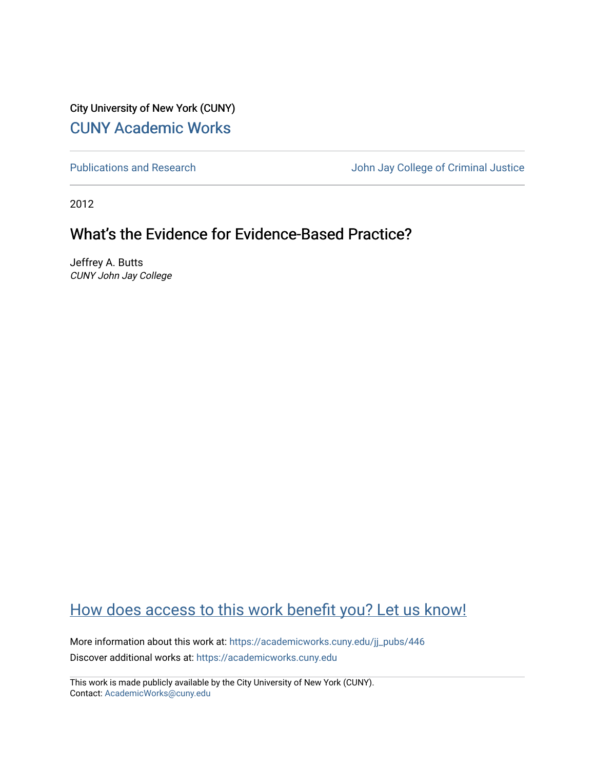City University of New York (CUNY) [CUNY Academic Works](https://academicworks.cuny.edu/) 

[Publications and Research](https://academicworks.cuny.edu/jj_pubs) **Value 2018** John Jay College of Criminal Justice

2012

# What's the Evidence for Evidence-Based Practice?

Jeffrey A. Butts CUNY John Jay College

# [How does access to this work benefit you? Let us know!](http://ols.cuny.edu/academicworks/?ref=https://academicworks.cuny.edu/jj_pubs/446)

More information about this work at: [https://academicworks.cuny.edu/jj\\_pubs/446](https://academicworks.cuny.edu/jj_pubs/446) Discover additional works at: [https://academicworks.cuny.edu](https://academicworks.cuny.edu/?)

This work is made publicly available by the City University of New York (CUNY). Contact: [AcademicWorks@cuny.edu](mailto:AcademicWorks@cuny.edu)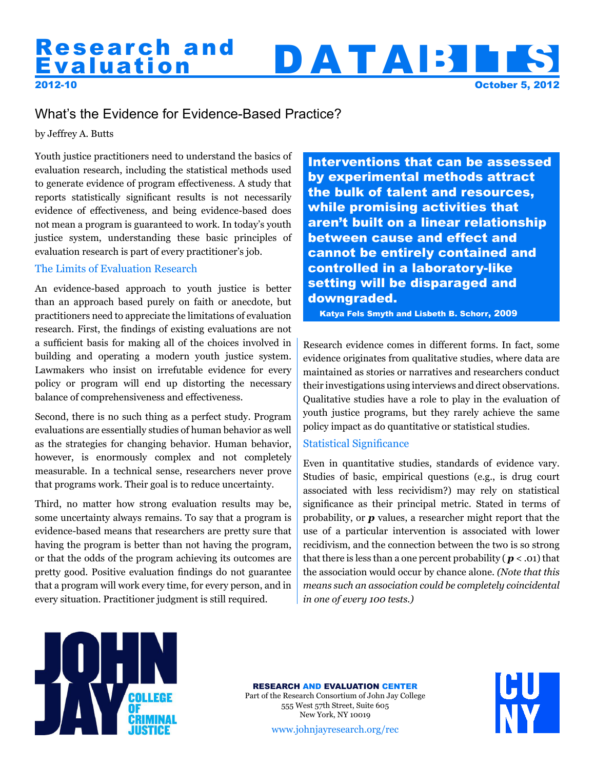# 2012-10 Research and DATABILIS October 5, 2012 Research and

# What's the Evidence for Evidence-Based Practice?

by Jeffrey A. Butts

Youth justice practitioners need to understand the basics of evaluation research, including the statistical methods used to generate evidence of program effectiveness. A study that reports statistically significant results is not necessarily evidence of effectiveness, and being evidence-based does not mean a program is guaranteed to work. In today's youth justice system, understanding these basic principles of evaluation research is part of every practitioner's job.

## The Limits of Evaluation Research

An evidence-based approach to youth justice is better than an approach based purely on faith or anecdote, but practitioners need to appreciate the limitations of evaluation research. First, the findings of existing evaluations are not a sufficient basis for making all of the choices involved in building and operating a modern youth justice system. Lawmakers who insist on irrefutable evidence for every policy or program will end up distorting the necessary balance of comprehensiveness and effectiveness.

Second, there is no such thing as a perfect study. Program evaluations are essentially studies of human behavior as well as the strategies for changing behavior. Human behavior, however, is enormously complex and not completely measurable. In a technical sense, researchers never prove that programs work. Their goal is to reduce uncertainty.

Third, no matter how strong evaluation results may be, some uncertainty always remains. To say that a program is evidence-based means that researchers are pretty sure that having the program is better than not having the program, or that the odds of the program achieving its outcomes are pretty good. Positive evaluation findings do not guarantee that a program will work every time, for every person, and in every situation. Practitioner judgment is still required.

[Interventions that can be assessed](http://www.hks.harvard.edu/ocpa/pdf/A%20Lot%20to%20Lose%20final.pdf)  by experimental methods attract the bulk of talent and resources, while promising activities that aren't built on a linear relationship between cause and effect and cannot be entirely contained and controlled in a laboratory-like setting will be disparaged and downgraded.

Katya Fels Smyth and Lisbeth B. Schorr, 2009

Research evidence comes in different forms. In fact, some evidence originates from qualitative studies, where data are maintained as stories or narratives and researchers conduct their investigations using interviews and direct observations. Qualitative studies have a role to play in the evaluation of youth justice programs, but they rarely achieve the same policy impact as do quantitative or statistical studies.

# Statistical Significance

Even in quantitative studies, standards of evidence vary. Studies of basic, empirical questions (e.g., is drug court associated with less recividism?) may rely on statistical significance as their principal metric. Stated in terms of probability, or *p* values, a researcher might report that the use of a particular intervention is associated with lower recidivism, and the connection between the two is so strong that there is less than a one percent probability ( $p < .01$ ) that the association would occur by chance alone. *(Note that this means such an association could be completely coincidental in one of every 100 tests.)*



#### [RESEARCH AND EVALUATION CENTER](http://johnjayresearch.org)

Part of the Research Consortium of John Jay College 555 West 57th Street, Suite 605 New York, NY 10019



www.johnjayresearch.org/rec